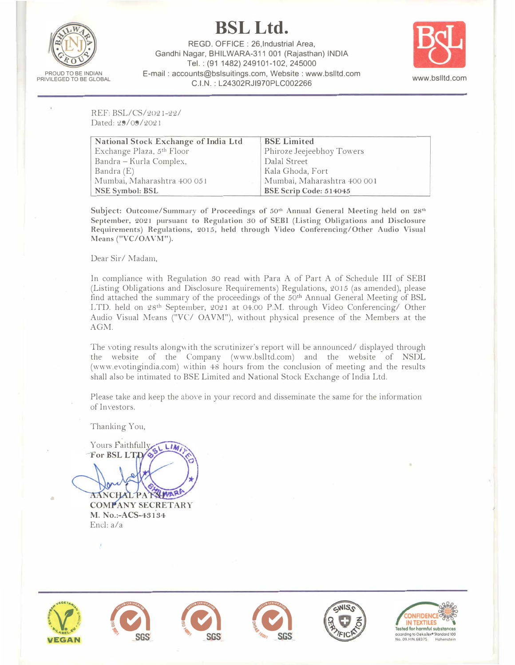

**BSLLtd.** 

**REGO. OFFICE : 26,lndustrial Area, Gandhi Nagar, BHILWARA-311 001 (Rajasthan) !NOIA**  Tel.: (91 **1482)** 249101-102, 245000 **E-mail : accounts@bslsuitings.com, Website : www.bslltd.com C.I.N. : L24302RJl970PLC002266 www.bslltd.com** 



REF: BSL/CS/2021-22/ Dated: 29/09/2021

| National Stock Exchange of India Ltd | <b>BSE Limited</b>          |
|--------------------------------------|-----------------------------|
| Exchange Plaza, 5th Floor            | Phiroze Jeejeebhoy Towers   |
| Bandra - Kurla Complex,              | Dalal Street                |
| Bandra $(E)$                         | Kala Ghoda, Fort            |
| Mumbai, Maharashtra 400 051          | Mumbai, Maharashtra 400 001 |
| <b>NSE Symbol: BSL</b>               | BSE Scrip Code: 514045      |

**Subject: Outcome/Summary of Proceedings of** 50**th Annual General Meeting held on** 28**th September,** <sup>2021</sup>**pursuant to Regulation** 30 **of SEBI (Listing Obligations and Disclosure Requirements) Regulations,** 2015, **held through Video Conferencing/Other Audio Visual**  Means ("VC/OAVM").

Dear Sir/ Madam,

In compliance with Regulation SO read with Para A of Part A of Schedule III of SEBI (Listing Obligations and Disclosure Requirements) Regulations, 2015 (as amended), please find attached the summary of the proceedings of the  $50<sup>th</sup>$  Annual General Meeting of BSL LTD. held on 28th September, 2021 at 04.00 P.M. through Video Conferencing/ Other Audio Visual Means ("VC/ OAVM"), without physical presence of the Members at the AGM.

The voting results along with the scrutinizer's report will be announced/ displayed through the website of the Company (www.bslltd.com) and the website of NSDL (www.evotingindia.com) within 48 hours from the conclusion of meeting and the results shall also be intimated to BSE Limited and National Stock Exchange of India Ltd.

Please take and keep the above in your record and disseminate the same for the information of Investors.

Thanking You,

Yours Faithfully LIAS) For BSL LTD

AANCHAL PATSIWAR **COMPANY SECRETARY** M. No.:-ACS-43134 Encl: a/a



•









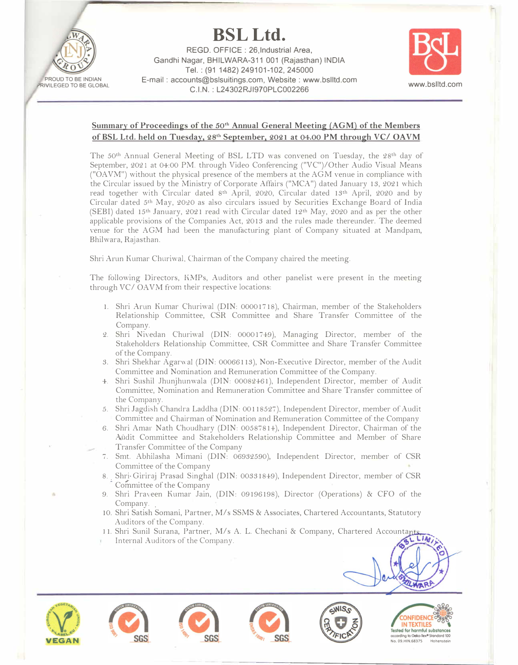

**BSL Ltd.**  REGO. OFFICE : 26,lndustrial Area, Gandhi Nagar, BHILWARA-311 001 (Rajasthan) INDIA Tel.: (91 1482) 249101-102, 245000 E-mail : accounts@bslsuitings.com, Website : www.bslltd.com anis@bsisumigs.com, website www.bslid.com<br>C.I.N. : L24302RJI970PLC002266



## Summary of Proceedings of the 50<sup>th</sup> Annual General Meeting (AGM) of the Members **ofBSL Ltd. held on Tuesday. 28**th **September. 2021 at 04.00 PM through VC/ OAVM**

The 50th Annual General Meeting of BSL LTD was convened on Tuesday, the 28th day of September, 2021 at 04:00 PM. through Video Conferencing ("VC")/Other Audio Visual Means ("OA VM") without the physical presence of the members at the AGM venue in compliance with the Circular issued by the Ministry of Corporate Affairs ("MCA") dated January 13, 2021 which read together with Circular dated 8th April, 2020, Circular dated 13th April, 2020 and by Circular dated 5th May, 2020 as also circulars issued by Securities Exchange Board of India (SEBI) dated 15<sup>th</sup> January, 2021 read with Circular dated 12<sup>th</sup> May, 2020 and as per the other applicable provisions of the Companies Act, 2013 and the rules made thereunder. The deemed venue for the AGM had been the manufacturing plant of Company situated at Mandpam, Bhilwara, Rajasthan.

Shri Arun Kumar Churiwal, Chairman of the Company chaired the meeting.

The following Directors, KMPs, Auditors and other panelist were present in the meeting through VC/OAVM from their respective locations:

- 1. Shri Arun Kumar Churiwal (DIN: 00001718), Chairman, member of the Stakeholders Relationship Committee, CSR Committee and Share Transfer Committee of the Company.
- 2. Shri Nivedan Churiwal (DIN: 00001749), Managing Director, member of the Stakeholders Relationship Committee, CSR Committee and Share Transfer Committee of the Company.
- 3. Shri Shekhar Agarwal (DIN: 00066113), Non-Executive Director, member of the Audit Committee and Nomination and Remuneration Committee of the Company.
- 4·. Shri Sushi! Jhunjhunwala (DIN: 00082461), Independent Director, member of Audit Committee, Nomination and Remuneration Committee and Share Transfer committee of the Company.
- *5.* Shri Jagdish Chandra Laddha (DIN: 00118527), Independent Director, member of Audit Committee and Chairman of Nomination and Remuneration Committee of the Company
- 6. Shri Amar Nath Choudhary (DIN: 00587814,), Independent Director, Chairman of the Audit Committee and Stakeholders Relationship Committee and Member of Share Transfer Committee of the Company
- 7. Smt. Abhilasha Mimani (DIN: 06932590), Independent Director, member of CSR Committee of the Company
- 8. Shri-Giriraj Prasad Singhal (DIN: 00331849), Independent Director, member of CSR Committee of the Company
- 9. Shri Praveen Kumar Jain, (DIN: 09196198), Director (Operations) & CFO of the Company.
- 10. Shri Satish Somani, Partner, M/s SSMS & Associates, Chartered Accountants, Statutory Auditors of the Company.
- I 1. Shri Sunil Surana, Partner, M/s A. L. Chechani & Company, Chartered Accountants,
- 













**b** 0

LWARF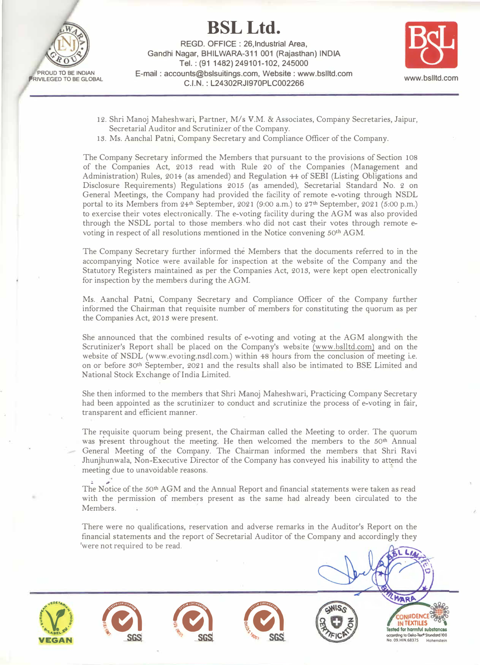

**REGD. OFFICE : 26,lndustrial Area,**  Gandhi Nagar, BHILWARA-311 001 (Rajasthan) INDIA **Tel.: (91 1482) 249101-102, 245000 E-mail : accounts@bslsuitings.com, Website : www.bslltd.com C.I.N. : L24302RJl970PLC002266 www.bslltd.com** 



- 12. Shri Manoj Maheshwari, Partner, *Mis* V.M. & Associates, Company Secretaries, Jaipur, Secretarial Auditor and Scrutinizer of the Company.
- 13. Ms. Aanchal Patni, Company Secretary and Compliance Officer of the Company.

The Company Secretary informed the Members that pursuant to the provisions of Section 108 of the Companies Act, 201S read with Rule 20 of the Companies (Management and Administration) Rules, 2014 (as amended) and Regulation 44 of SEBI (Listing Obligations and Disclosure Requirements) Regulations 2015 (as amended), Secretarial Standard No. 2 on General Meetings, the Company had provided the facility of remote e-voting through NSDL portal to its Members from  $24<sup>th</sup>$  September,  $2021$  (9:00 a.m.) to  $27<sup>th</sup>$  September,  $2021$  (5:00 p.m.) to exercise their votes electronically. The e-voting facility during the AGM was also provided through the NSDL portal to those members.who did not cast their votes through remote evoting in respect of all resolutions mentioned in the Notice convening 50th AGM.

The Company Secretary further informed the Members that the documents referred to in the accompanying Notice were available for inspection at the website of the Company and the Statutory Registers maintained as per the Companies Act, 201S, were kept open electronically for inspection by the members during the AGM.

Ms .. Aanchal Patni, Company Secretary and Compliance Officer of the Company further informed the Chairman that requisite number of members for constituting the quorum as per the Companies Act, 2013 were present.

She announced that the combined results of e-voting and voting at the AGM alongwith the Scrutinizer's Report shall be placed on the Company's website (www.bslltd.com) and on the website of NSDL (www.evoting.nsdl.com.) within 48 hours from the conclusion of meeting i.e. on. or before S0th September, 2021 and the results shall also be intimated to BSE Limited and National Stock Exchange of India Limited.

She then informed to the members that Shri Manoj Maheshwari, Practicing Company Secretary had been appointed as the scrutinizer to conduct and scrutinize the process of e-voting in fair, transparent and efficient manner.

The requisite quorum being present, the Chairman called the Meeting to order. The quorum was �resent throughout the meeting. He then welcomed the members to the 50**1**h Annual General Meeting of the Company. The Chairman informed the members that Shri Ravi Jhunjhunwala, Non-Executive Director of the Company has conveyed his inability to attend the meeting due to unavoidable reasons.

The Notice of the 50<sup>th</sup> AGM and the Annual Report and financial statements were taken as read with the permission of members present as the same had already been circulated to the Members.

There were no qualifications, reservation and adverse remarks in the Auditor's Report on the financial statements and the report of Secretarial Auditor of the Company and accordingly they were not required to be read.



**PROUD TO BE INDIAN ,RIVILEGED TO BE GLOBAL** 









MARA *=,:, (&l* **(G)** \ **SGS**<br> **SGS**<br> **SGS**<br> **SGS**<br> **SGS**<br> **SGS**<br> **CONFIDENCE**<br> **IN TEXTILES**<br> **IN TEXTILES**<br> **IN TEXTILES**<br> **IN TEXTILES**<br> **IN TEXTILES**<br> **IN TEXTILES**<br> **IN TEXTILES**<br> **IN TEXTILES**<br> **IN TEXTILES INFIDENCE TEXTILES SGS. SGS. SGS. CGS. CGS. CGS. CGS. CGS. CGS. CGS. CGS. CGS. CGS. CGS. CGS. CGS. CGS. CGS. CGS. CGS. CGS. CGS. CGS. CGS. CGS. CGS. CGS. CGS. CGS. CGS. CGS. CGS.**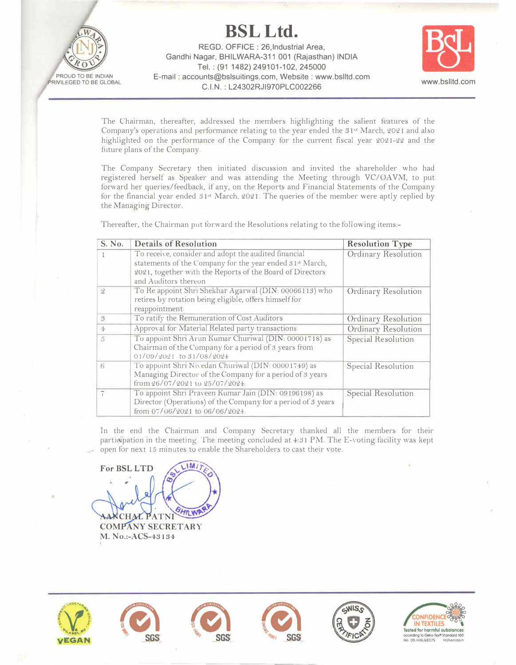**BSL Ltd.** 

**PROUD TO BE INDIAN PRIVILEGED TO BE GLOBAL** 

**REGO. OFFICE : 26,lndustrial Area, Gandhi Nagar, BHILWARA-311 001 (Rajasthan) INDIA Tel.: (91 1482) 249101-102, 245000 E-mail : accounts@bslsuitings.com, Website : www.bslltd.com C.I.N. : L24302RJl970PLC002266 www.bslltd.com** 



The Chairman, thereafter, addressed the members highlighting the salient features of the Company's operations and performance relating to the year ended the  $31st$  March, 2021 and also highlighted on the performance of the Company for the current fiscal year 2021-22 and the future plans of the Company.

The Company Secretary then initiated discussion and invited the shareholder who had registered herself as Speaker and was attending the Meeting through VC/OAVM, to put forward her queries/feedback, if any, on the Reports and Financial Statements of the Company for the financial year ended S 1st March, 2021. The queries of the member were aptly replied by the Managing Director.

Thereafter, the Chairman put forward the Resolutions relating to the following items:-

| S. No.         | <b>Details of Resolution</b>                                                                                                                                                                          | <b>Resolution Type</b>     |
|----------------|-------------------------------------------------------------------------------------------------------------------------------------------------------------------------------------------------------|----------------------------|
|                | To receive, consider and adopt the audited financial<br>statements of the Company for the year ended 31st March,<br>2021, together with the Reports of the Board of Directors<br>and Auditors thereon | Ordinary Resolution        |
| $\mathcal{Q}$  | To Re appoint Shri Shekhar Agarwal (DIN: 00066113) who<br>retires by rotation being eligible, offers himself for<br>reappointment                                                                     | Ordinary Resolution        |
| $\mathcal{S}$  | To ratify the Remuneration of Cost Auditors                                                                                                                                                           | Ordinary Resolution        |
| $\overline{4}$ | Approval for Material Related party transactions                                                                                                                                                      | <b>Ordinary Resolution</b> |
| 5              | To appoint Shri Arun Kumar Churiwal (DIN: 00001718) as<br>Chairman of the Company for a period of 3 years from<br>01/09/2021 to 31/08/2024                                                            | Special Resolution         |
| 6              | To appoint Shri Nivedan Churiwal (DIN: 00001749) as<br>Managing Director of the Company for a period of 3 years<br>from 26/07/2021 to 25/07/2024.                                                     | <b>Special Resolution</b>  |
|                | To appoint Shri Praveen Kumar Jain (DIN: 09196198) as<br>Director (Operations) of the Company for a period of 3 years<br>from $07/06/2021$ to $06/06/2024$ .                                          | Special Resolution         |

In the end the Chairman and Company Secretary thanked all the members for their participation in the meeting. The meeting concluded at  $4:31$  PM. The E-voting facility was kept open for next 15 minutes to enable the Shareholders to cast their vote.

**M For BSL LTD**  'NI **COMPANY SECRETARY M. N o.:-ACS-43134**